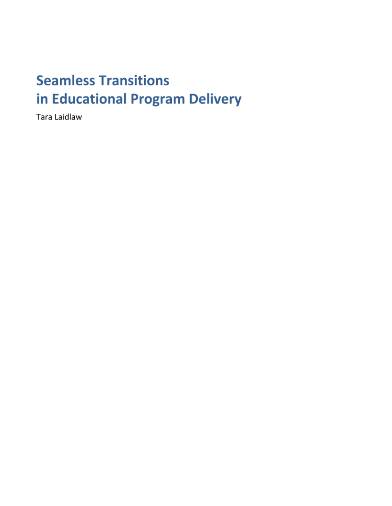# **Seamless Transitions** in Educational Program Delivery

Tara Laidlaw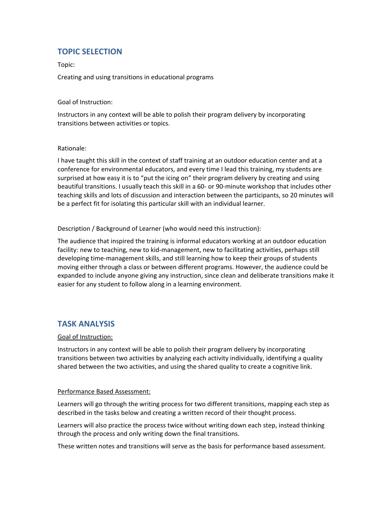## **TOPIC SELECTION**

Topic:

Creating and using transitions in educational programs

Goal of Instruction:

Instructors in any context will be able to polish their program delivery by incorporating transitions between activities or topics.

#### Rationale:

I have taught this skill in the context of staff training at an outdoor education center and at a conference for environmental educators, and every time I lead this training, my students are surprised at how easy it is to "put the icing on" their program delivery by creating and using beautiful transitions. I usually teach this skill in a 60- or 90-minute workshop that includes other teaching skills and lots of discussion and interaction between the participants, so 20 minutes will be a perfect fit for isolating this particular skill with an individual learner.

Description / Background of Learner (who would need this instruction):

The audience that inspired the training is informal educators working at an outdoor education facility: new to teaching, new to kid-management, new to facilitating activities, perhaps still developing time-management skills, and still learning how to keep their groups of students moving either through a class or between different programs. However, the audience could be expanded to include anyone giving any instruction, since clean and deliberate transitions make it easier for any student to follow along in a learning environment.

### **TASK ANALYSIS**

#### Goal of Instruction:

Instructors in any context will be able to polish their program delivery by incorporating transitions between two activities by analyzing each activity individually, identifying a quality shared between the two activities, and using the shared quality to create a cognitive link.

#### Performance Based Assessment:

Learners will go through the writing process for two different transitions, mapping each step as described in the tasks below and creating a written record of their thought process.

Learners will also practice the process twice without writing down each step, instead thinking through the process and only writing down the final transitions.

These written notes and transitions will serve as the basis for performance based assessment.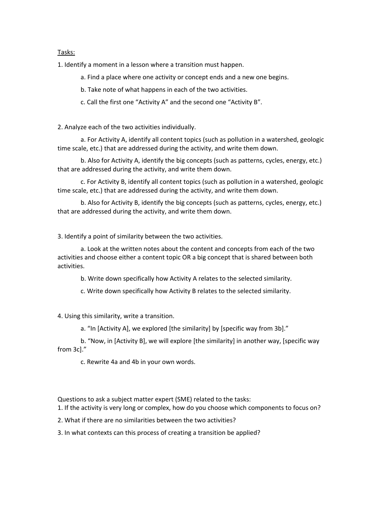#### Tasks:

1. Identify a moment in a lesson where a transition must happen.

a. Find a place where one activity or concept ends and a new one begins.

b. Take note of what happens in each of the two activities.

c. Call the first one "Activity A" and the second one "Activity B".

2. Analyze each of the two activities individually.

a. For Activity A, identify all content topics (such as pollution in a watershed, geologic time scale, etc.) that are addressed during the activity, and write them down.

b. Also for Activity A, identify the big concepts (such as patterns, cycles, energy, etc.) that are addressed during the activity, and write them down.

c. For Activity B, identify all content topics (such as pollution in a watershed, geologic time scale, etc.) that are addressed during the activity, and write them down.

b. Also for Activity B, identify the big concepts (such as patterns, cycles, energy, etc.) that are addressed during the activity, and write them down.

3. Identify a point of similarity between the two activities.

a. Look at the written notes about the content and concepts from each of the two activities and choose either a content topic OR a big concept that is shared between both activities.

b. Write down specifically how Activity A relates to the selected similarity.

c. Write down specifically how Activity B relates to the selected similarity.

4. Using this similarity, write a transition.

a. "In [Activity A], we explored [the similarity] by [specific way from 3b]."

b. "Now, in [Activity B], we will explore [the similarity] in another way, [specific way from 3c]."

c. Rewrite 4a and 4b in your own words.

Questions to ask a subject matter expert (SME) related to the tasks:

1. If the activity is very long or complex, how do you choose which components to focus on?

2. What if there are no similarities between the two activities?

3. In what contexts can this process of creating a transition be applied?